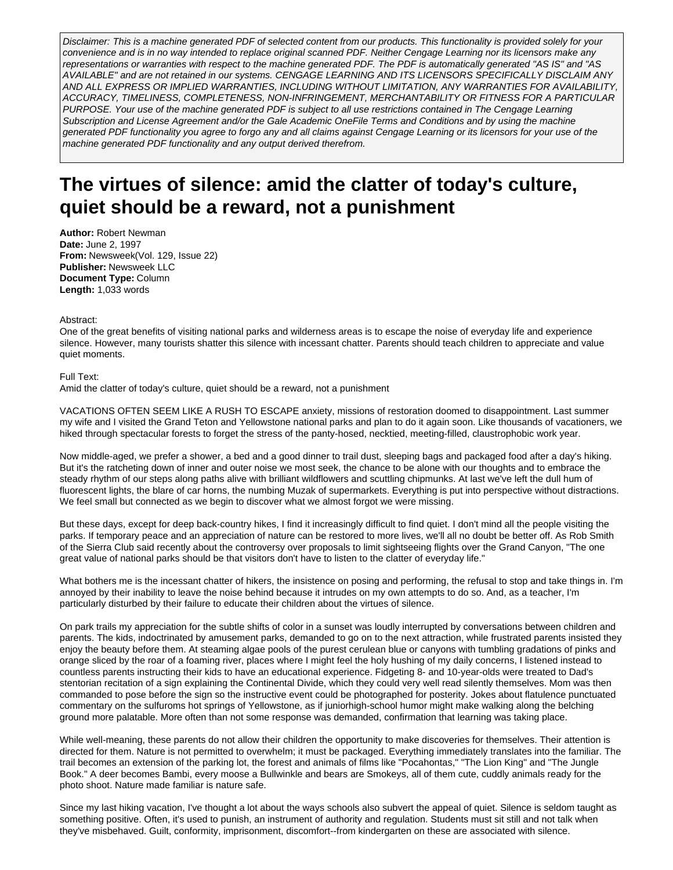Disclaimer: This is a machine generated PDF of selected content from our products. This functionality is provided solely for your convenience and is in no way intended to replace original scanned PDF. Neither Cengage Learning nor its licensors make any representations or warranties with respect to the machine generated PDF. The PDF is automatically generated "AS IS" and "AS AVAILABLE" and are not retained in our systems. CENGAGE LEARNING AND ITS LICENSORS SPECIFICALLY DISCLAIM ANY AND ALL EXPRESS OR IMPLIED WARRANTIES, INCLUDING WITHOUT LIMITATION, ANY WARRANTIES FOR AVAILABILITY, ACCURACY, TIMELINESS, COMPLETENESS, NON-INFRINGEMENT, MERCHANTABILITY OR FITNESS FOR A PARTICULAR PURPOSE. Your use of the machine generated PDF is subject to all use restrictions contained in The Cengage Learning Subscription and License Agreement and/or the Gale Academic OneFile Terms and Conditions and by using the machine generated PDF functionality you agree to forgo any and all claims against Cengage Learning or its licensors for your use of the machine generated PDF functionality and any output derived therefrom.

## **The virtues of silence: amid the clatter of today's culture, quiet should be a reward, not a punishment**

**Author:** Robert Newman **Date:** June 2, 1997 **From:** Newsweek(Vol. 129, Issue 22) **Publisher:** Newsweek LLC **Document Type:** Column **Length:** 1,033 words

## Abstract:

One of the great benefits of visiting national parks and wilderness areas is to escape the noise of everyday life and experience silence. However, many tourists shatter this silence with incessant chatter. Parents should teach children to appreciate and value quiet moments.

## Full Text:

Amid the clatter of today's culture, quiet should be a reward, not a punishment

VACATIONS OFTEN SEEM LIKE A RUSH TO ESCAPE anxiety, missions of restoration doomed to disappointment. Last summer my wife and I visited the Grand Teton and Yellowstone national parks and plan to do it again soon. Like thousands of vacationers, we hiked through spectacular forests to forget the stress of the panty-hosed, necktied, meeting-filled, claustrophobic work year.

Now middle-aged, we prefer a shower, a bed and a good dinner to trail dust, sleeping bags and packaged food after a day's hiking. But it's the ratcheting down of inner and outer noise we most seek, the chance to be alone with our thoughts and to embrace the steady rhythm of our steps along paths alive with brilliant wildflowers and scuttling chipmunks. At last we've left the dull hum of fluorescent lights, the blare of car horns, the numbing Muzak of supermarkets. Everything is put into perspective without distractions. We feel small but connected as we begin to discover what we almost forgot we were missing.

But these days, except for deep back-country hikes, I find it increasingly difficult to find quiet. I don't mind all the people visiting the parks. If temporary peace and an appreciation of nature can be restored to more lives, we'll all no doubt be better off. As Rob Smith of the Sierra Club said recently about the controversy over proposals to limit sightseeing flights over the Grand Canyon, "The one great value of national parks should be that visitors don't have to listen to the clatter of everyday life."

What bothers me is the incessant chatter of hikers, the insistence on posing and performing, the refusal to stop and take things in. I'm annoyed by their inability to leave the noise behind because it intrudes on my own attempts to do so. And, as a teacher, I'm particularly disturbed by their failure to educate their children about the virtues of silence.

On park trails my appreciation for the subtle shifts of color in a sunset was loudly interrupted by conversations between children and parents. The kids, indoctrinated by amusement parks, demanded to go on to the next attraction, while frustrated parents insisted they enjoy the beauty before them. At steaming algae pools of the purest cerulean blue or canyons with tumbling gradations of pinks and orange sliced by the roar of a foaming river, places where I might feel the holy hushing of my daily concerns, I listened instead to countless parents instructing their kids to have an educational experience. Fidgeting 8- and 10-year-olds were treated to Dad's stentorian recitation of a sign explaining the Continental Divide, which they could very well read silently themselves. Mom was then commanded to pose before the sign so the instructive event could be photographed for posterity. Jokes about flatulence punctuated commentary on the sulfuroms hot springs of Yellowstone, as if juniorhigh-school humor might make walking along the belching ground more palatable. More often than not some response was demanded, confirmation that learning was taking place.

While well-meaning, these parents do not allow their children the opportunity to make discoveries for themselves. Their attention is directed for them. Nature is not permitted to overwhelm; it must be packaged. Everything immediately translates into the familiar. The trail becomes an extension of the parking lot, the forest and animals of films like "Pocahontas," "The Lion King" and "The Jungle Book." A deer becomes Bambi, every moose a Bullwinkle and bears are Smokeys, all of them cute, cuddly animals ready for the photo shoot. Nature made familiar is nature safe.

Since my last hiking vacation, I've thought a lot about the ways schools also subvert the appeal of quiet. Silence is seldom taught as something positive. Often, it's used to punish, an instrument of authority and regulation. Students must sit still and not talk when they've misbehaved. Guilt, conformity, imprisonment, discomfort--from kindergarten on these are associated with silence.